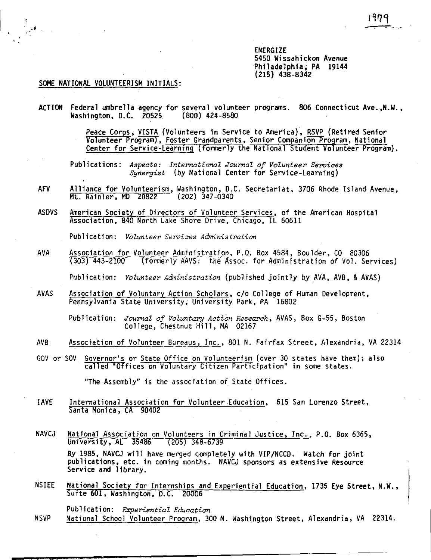ENERGIZE 5450 Wissahickon Avenue Philadelphia, PA 19144 (215) 438-8342

## SOME NATIONAL VOLUNTEERISM INITIALS:

.,

- ACTION Federal umbrella agency for several volunteer programs. 806 Connecticut **Ave.,N.W.,**  Washington, D.C. 20525
	- Peace Corps, VISTA (Volunteers in Service to America), RSVP (Retired Senior Volunteer Program), <u>Foster Grandparents</u>, <u>Senior Companion Program</u>, <u>National</u> Center for Service-Learning fonnerly the National Student Volunteer Program).

Publications: *Aspects: International Journal of Volunteer Seroices Synergist* (by National Center for Service-Learning)

- AFV Alliance for Volunteerism, Washington, D.C. Secretariat, 3706 Rhode Island Avenue,<br>Mt. Rainier, MD 20822 (202) 347-0340 Mt. Rainier, MD 20822
- ASDVS American Society of Directors of Volunteer Services, of the American Hospital Association, 840 North Lake Shore Drive, Chicago, IL 60611

Publication: *Volunteer Seroices Administration* 

- AVA Association for Volunteer Administration, P.O. Box 4584, Boulder, CO 80306 (303) 443-2100 (formerly AAVS: the Assoc. for Administration of Vol. Services) Publication: *Volunteer Administration* (published jointly by AVA, AVB, & AVAS)
- AVAS Association of Voluntary Action Scholars, c/o College of Human Development, Pennsylvania State University, University Park, PA 16802

Publication: *Journal of Voluntary Action Research,* AVAS, Box G-55, Boston College, Chestnut Hill, MA 02167

- AVB Association of Volunteer Bureaus, Inc., 801 N. Fairfax Street, Alexandria, VA 22314
- GOV or SOV Governor's or State Office on Volunteerism (over 30 states have them); also called "Offices on Voluntary Citizen Participation" in some states.

"The Assembly" is the association of State Offices.

- JAVE International Association for Volunteer Education, 615 San Lorenzo Street, Santa Monica, CA 90402
- NAVCJ National Association on Volunteers in Criminal Justice, Inc., P.O. Box 6365,<br>University, AL 35486 (205) 348-6739 University, AL 35486 By 1985, NAVCJ will have merged completely with V!P/NCCD. Watch for joint publications, etc. in coming months. NAVCJ sponsors as extensive Resource Service and library.
- NSIEE National Society for Internships and Experiential Education, 1735 Eye Street, **N.W.,** Suite 601, Washington, D.C. 20006
- Publication: *Experiential Education*  NSVP National School Volunteer Program, 300 N. Washington Street, Alexandria, VA 22314.